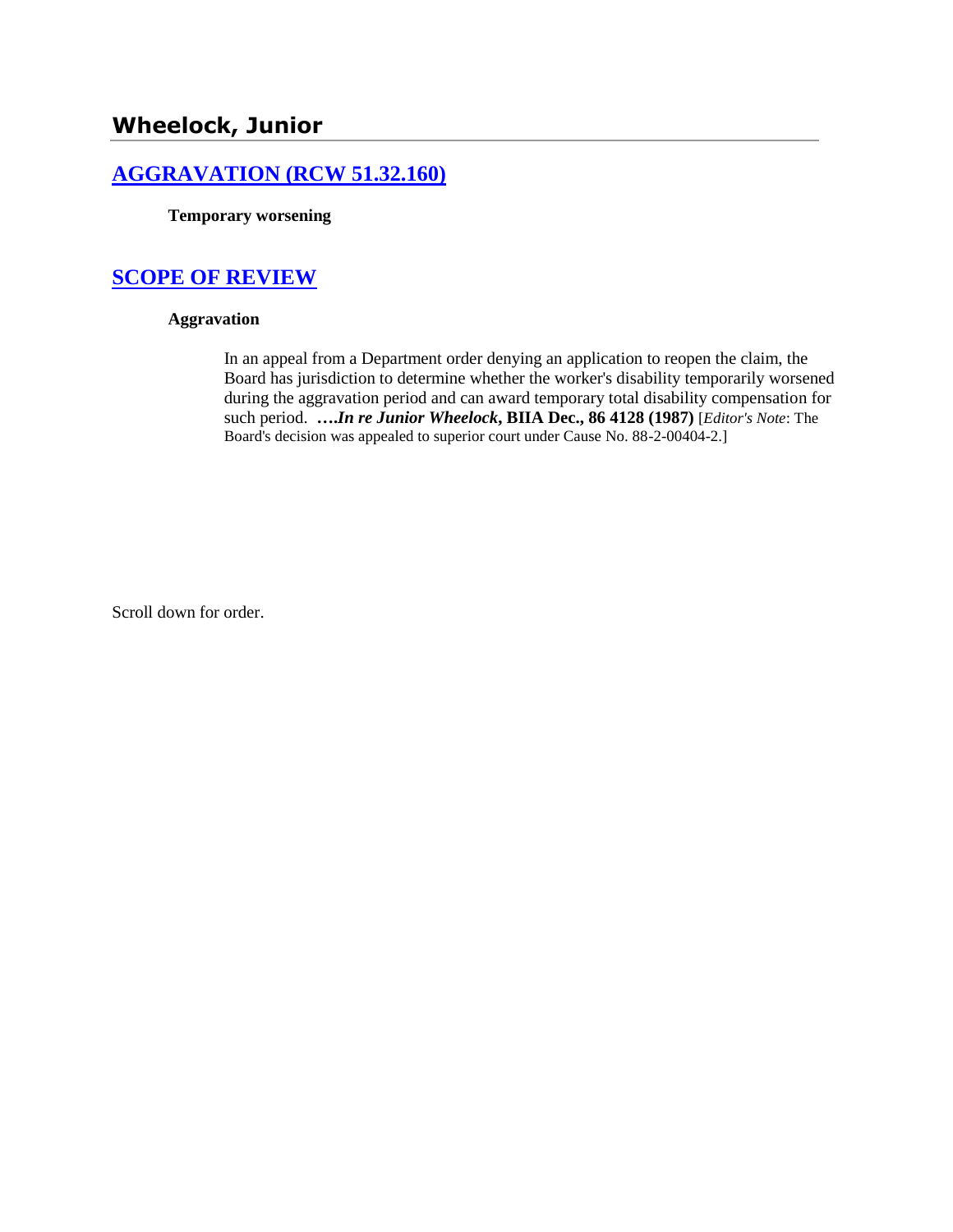# **[AGGRAVATION \(RCW 51.32.160\)](http://www.biia.wa.gov/SDSubjectIndex.html#AGGRAVATION)**

**Temporary worsening**

# **[SCOPE OF REVIEW](http://www.biia.wa.gov/SDSubjectIndex.html#SCOPE_OF_REVIEW)**

### **Aggravation**

In an appeal from a Department order denying an application to reopen the claim, the Board has jurisdiction to determine whether the worker's disability temporarily worsened during the aggravation period and can award temporary total disability compensation for such period. **….***In re Junior Wheelock***, BIIA Dec., 86 4128 (1987)** [*Editor's Note*: The Board's decision was appealed to superior court under Cause No. 88-2-00404-2.]

Scroll down for order.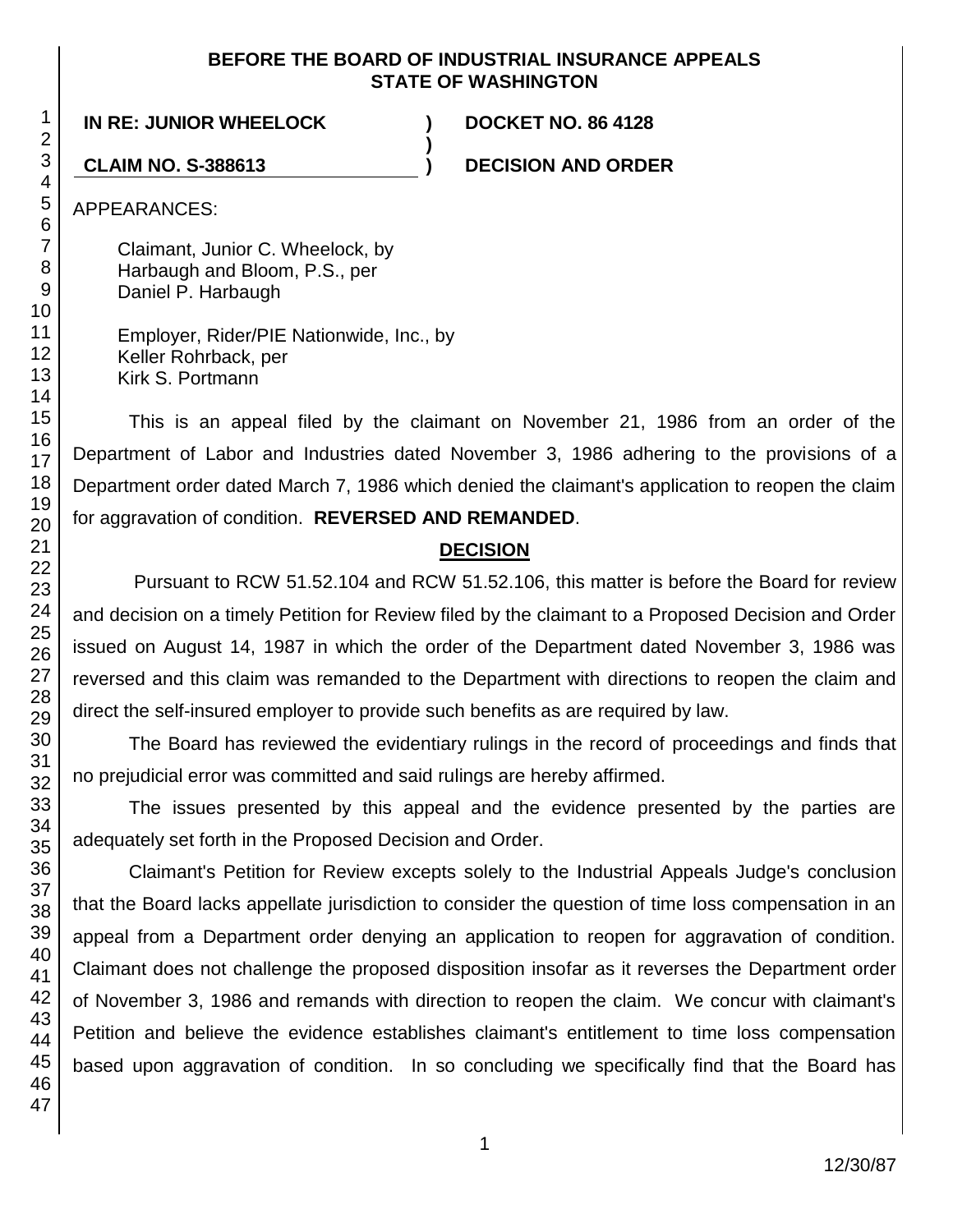### **BEFORE THE BOARD OF INDUSTRIAL INSURANCE APPEALS STATE OF WASHINGTON**

**)**

**IN RE: JUNIOR WHEELOCK ) DOCKET NO. 86 4128**

**CLAIM NO. S-388613 ) DECISION AND ORDER**

APPEARANCES:

Claimant, Junior C. Wheelock, by Harbaugh and Bloom, P.S., per Daniel P. Harbaugh

Employer, Rider/PIE Nationwide, Inc., by Keller Rohrback, per Kirk S. Portmann

This is an appeal filed by the claimant on November 21, 1986 from an order of the Department of Labor and Industries dated November 3, 1986 adhering to the provisions of a Department order dated March 7, 1986 which denied the claimant's application to reopen the claim for aggravation of condition. **REVERSED AND REMANDED**.

### **DECISION**

Pursuant to RCW 51.52.104 and RCW 51.52.106, this matter is before the Board for review and decision on a timely Petition for Review filed by the claimant to a Proposed Decision and Order issued on August 14, 1987 in which the order of the Department dated November 3, 1986 was reversed and this claim was remanded to the Department with directions to reopen the claim and direct the self-insured employer to provide such benefits as are required by law.

The Board has reviewed the evidentiary rulings in the record of proceedings and finds that no prejudicial error was committed and said rulings are hereby affirmed.

The issues presented by this appeal and the evidence presented by the parties are adequately set forth in the Proposed Decision and Order.

Claimant's Petition for Review excepts solely to the Industrial Appeals Judge's conclusion that the Board lacks appellate jurisdiction to consider the question of time loss compensation in an appeal from a Department order denying an application to reopen for aggravation of condition. Claimant does not challenge the proposed disposition insofar as it reverses the Department order of November 3, 1986 and remands with direction to reopen the claim. We concur with claimant's Petition and believe the evidence establishes claimant's entitlement to time loss compensation based upon aggravation of condition. In so concluding we specifically find that the Board has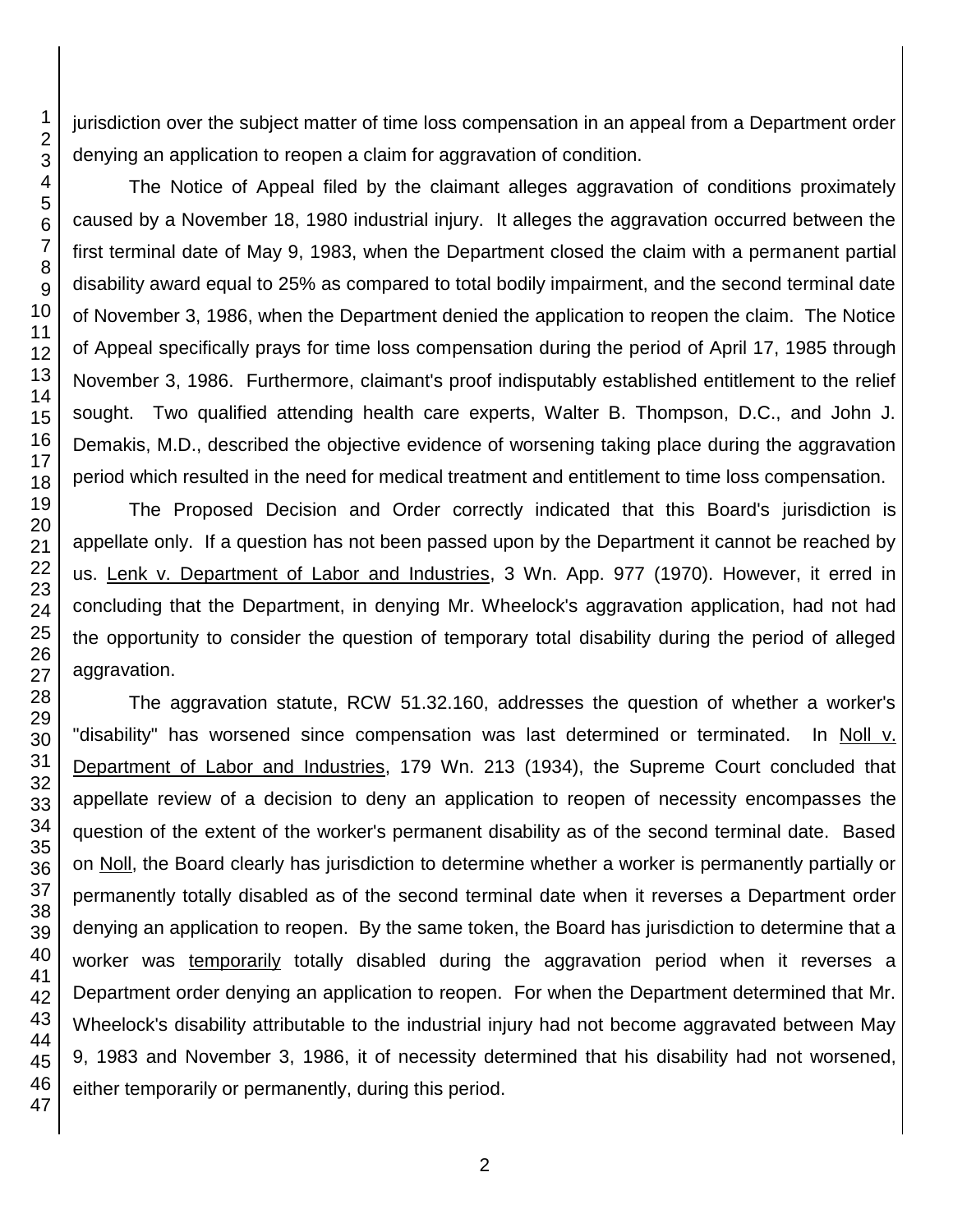jurisdiction over the subject matter of time loss compensation in an appeal from a Department order denying an application to reopen a claim for aggravation of condition.

The Notice of Appeal filed by the claimant alleges aggravation of conditions proximately caused by a November 18, 1980 industrial injury. It alleges the aggravation occurred between the first terminal date of May 9, 1983, when the Department closed the claim with a permanent partial disability award equal to 25% as compared to total bodily impairment, and the second terminal date of November 3, 1986, when the Department denied the application to reopen the claim. The Notice of Appeal specifically prays for time loss compensation during the period of April 17, 1985 through November 3, 1986. Furthermore, claimant's proof indisputably established entitlement to the relief sought. Two qualified attending health care experts, Walter B. Thompson, D.C., and John J. Demakis, M.D., described the objective evidence of worsening taking place during the aggravation period which resulted in the need for medical treatment and entitlement to time loss compensation.

The Proposed Decision and Order correctly indicated that this Board's jurisdiction is appellate only. If a question has not been passed upon by the Department it cannot be reached by us. Lenk v. Department of Labor and Industries, 3 Wn. App. 977 (1970). However, it erred in concluding that the Department, in denying Mr. Wheelock's aggravation application, had not had the opportunity to consider the question of temporary total disability during the period of alleged aggravation.

The aggravation statute, RCW 51.32.160, addresses the question of whether a worker's "disability" has worsened since compensation was last determined or terminated. In Noll v. Department of Labor and Industries, 179 Wn. 213 (1934), the Supreme Court concluded that appellate review of a decision to deny an application to reopen of necessity encompasses the question of the extent of the worker's permanent disability as of the second terminal date. Based on Noll, the Board clearly has jurisdiction to determine whether a worker is permanently partially or permanently totally disabled as of the second terminal date when it reverses a Department order denying an application to reopen. By the same token, the Board has jurisdiction to determine that a worker was temporarily totally disabled during the aggravation period when it reverses a Department order denying an application to reopen. For when the Department determined that Mr. Wheelock's disability attributable to the industrial injury had not become aggravated between May 9, 1983 and November 3, 1986, it of necessity determined that his disability had not worsened, either temporarily or permanently, during this period.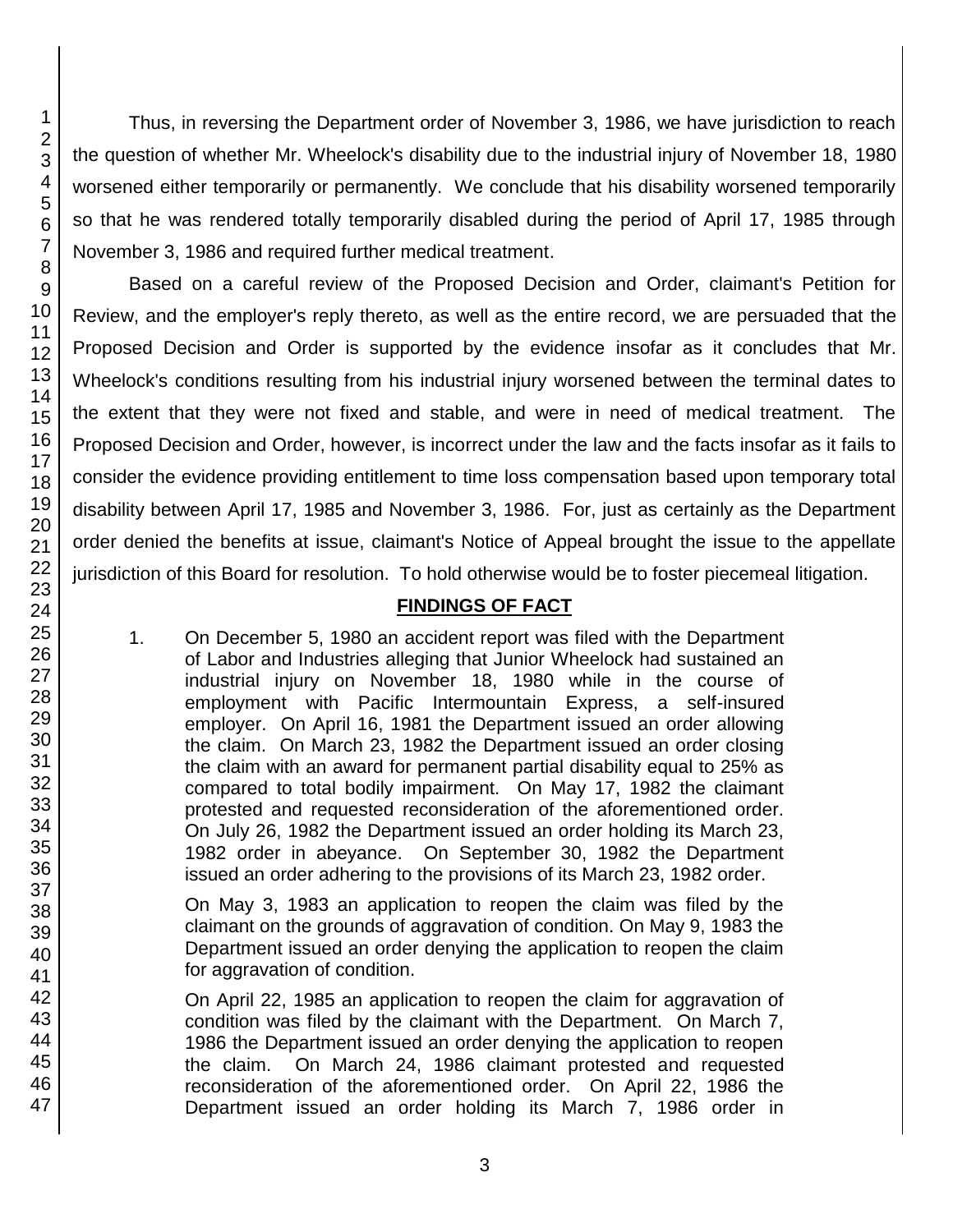Thus, in reversing the Department order of November 3, 1986, we have jurisdiction to reach the question of whether Mr. Wheelock's disability due to the industrial injury of November 18, 1980 worsened either temporarily or permanently. We conclude that his disability worsened temporarily so that he was rendered totally temporarily disabled during the period of April 17, 1985 through November 3, 1986 and required further medical treatment.

Based on a careful review of the Proposed Decision and Order, claimant's Petition for Review, and the employer's reply thereto, as well as the entire record, we are persuaded that the Proposed Decision and Order is supported by the evidence insofar as it concludes that Mr. Wheelock's conditions resulting from his industrial injury worsened between the terminal dates to the extent that they were not fixed and stable, and were in need of medical treatment. The Proposed Decision and Order, however, is incorrect under the law and the facts insofar as it fails to consider the evidence providing entitlement to time loss compensation based upon temporary total disability between April 17, 1985 and November 3, 1986. For, just as certainly as the Department order denied the benefits at issue, claimant's Notice of Appeal brought the issue to the appellate jurisdiction of this Board for resolution. To hold otherwise would be to foster piecemeal litigation.

# **FINDINGS OF FACT**

1. On December 5, 1980 an accident report was filed with the Department of Labor and Industries alleging that Junior Wheelock had sustained an industrial injury on November 18, 1980 while in the course of employment with Pacific Intermountain Express, a self-insured employer. On April 16, 1981 the Department issued an order allowing the claim. On March 23, 1982 the Department issued an order closing the claim with an award for permanent partial disability equal to 25% as compared to total bodily impairment. On May 17, 1982 the claimant protested and requested reconsideration of the aforementioned order. On July 26, 1982 the Department issued an order holding its March 23, 1982 order in abeyance. On September 30, 1982 the Department issued an order adhering to the provisions of its March 23, 1982 order.

On May 3, 1983 an application to reopen the claim was filed by the claimant on the grounds of aggravation of condition. On May 9, 1983 the Department issued an order denying the application to reopen the claim for aggravation of condition.

On April 22, 1985 an application to reopen the claim for aggravation of condition was filed by the claimant with the Department. On March 7, 1986 the Department issued an order denying the application to reopen the claim. On March 24, 1986 claimant protested and requested reconsideration of the aforementioned order. On April 22, 1986 the Department issued an order holding its March 7, 1986 order in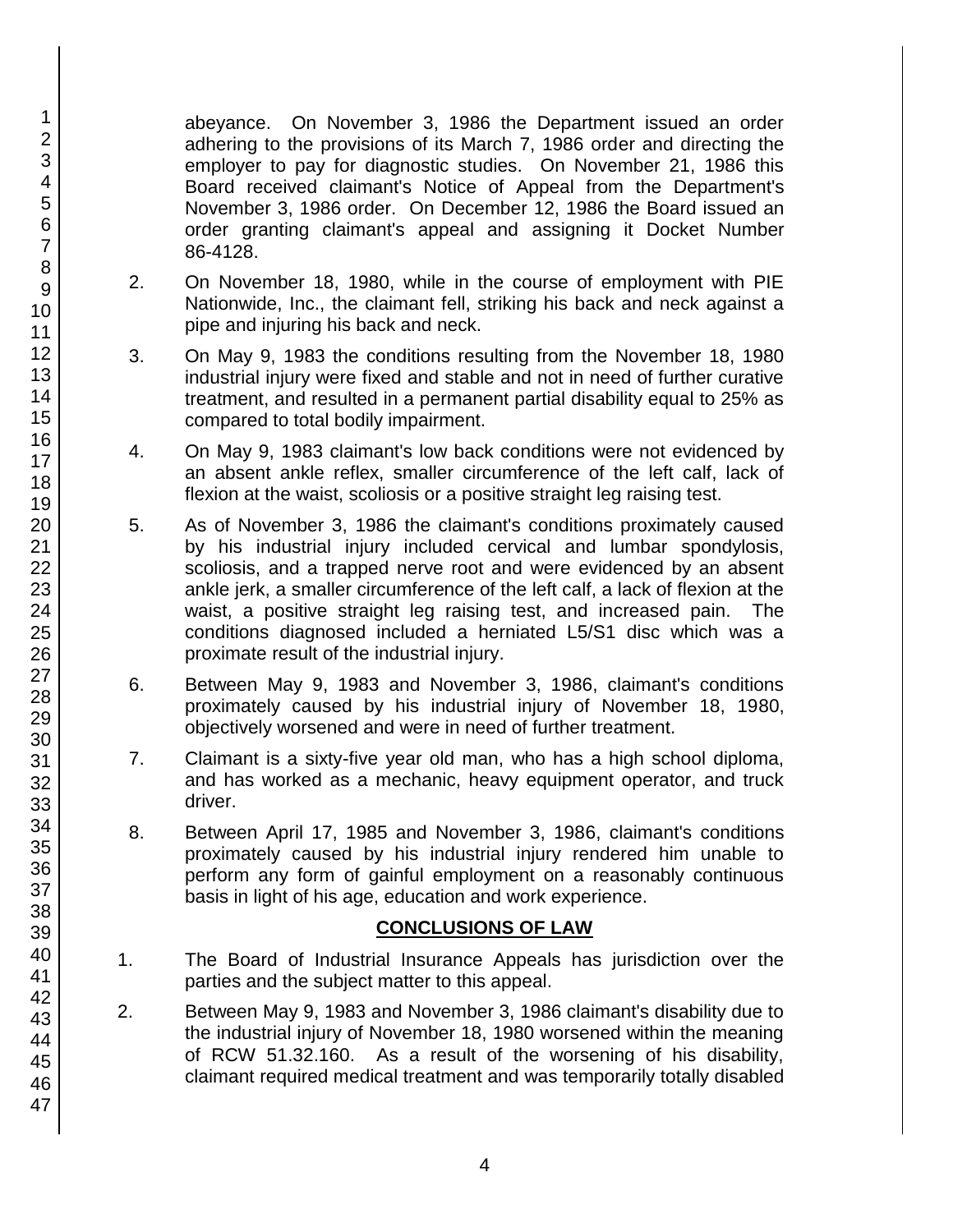abeyance. On November 3, 1986 the Department issued an order adhering to the provisions of its March 7, 1986 order and directing the employer to pay for diagnostic studies. On November 21, 1986 this Board received claimant's Notice of Appeal from the Department's November 3, 1986 order. On December 12, 1986 the Board issued an order granting claimant's appeal and assigning it Docket Number 86-4128.

- 2. On November 18, 1980, while in the course of employment with PIE Nationwide, Inc., the claimant fell, striking his back and neck against a pipe and injuring his back and neck.
- 3. On May 9, 1983 the conditions resulting from the November 18, 1980 industrial injury were fixed and stable and not in need of further curative treatment, and resulted in a permanent partial disability equal to 25% as compared to total bodily impairment.
- 4. On May 9, 1983 claimant's low back conditions were not evidenced by an absent ankle reflex, smaller circumference of the left calf, lack of flexion at the waist, scoliosis or a positive straight leg raising test.
- 5. As of November 3, 1986 the claimant's conditions proximately caused by his industrial injury included cervical and lumbar spondylosis, scoliosis, and a trapped nerve root and were evidenced by an absent ankle jerk, a smaller circumference of the left calf, a lack of flexion at the waist, a positive straight leg raising test, and increased pain. The conditions diagnosed included a herniated L5/S1 disc which was a proximate result of the industrial injury.
- 6. Between May 9, 1983 and November 3, 1986, claimant's conditions proximately caused by his industrial injury of November 18, 1980, objectively worsened and were in need of further treatment.
- 7. Claimant is a sixty-five year old man, who has a high school diploma, and has worked as a mechanic, heavy equipment operator, and truck driver.
- 8. Between April 17, 1985 and November 3, 1986, claimant's conditions proximately caused by his industrial injury rendered him unable to perform any form of gainful employment on a reasonably continuous basis in light of his age, education and work experience.

### **CONCLUSIONS OF LAW**

- 1. The Board of Industrial Insurance Appeals has jurisdiction over the parties and the subject matter to this appeal.
- 2. Between May 9, 1983 and November 3, 1986 claimant's disability due to the industrial injury of November 18, 1980 worsened within the meaning of RCW 51.32.160. As a result of the worsening of his disability, claimant required medical treatment and was temporarily totally disabled